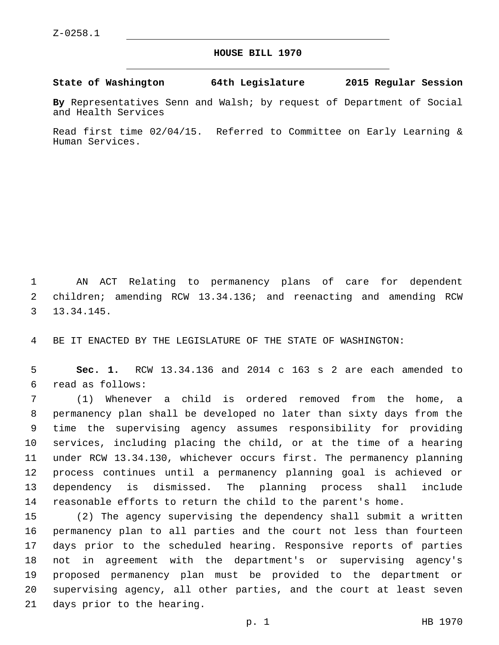## **HOUSE BILL 1970**

**State of Washington 64th Legislature 2015 Regular Session**

**By** Representatives Senn and Walsh; by request of Department of Social and Health Services

Read first time 02/04/15. Referred to Committee on Early Learning & Human Services.

 AN ACT Relating to permanency plans of care for dependent children; amending RCW 13.34.136; and reenacting and amending RCW 13.34.145.3

BE IT ENACTED BY THE LEGISLATURE OF THE STATE OF WASHINGTON:

 **Sec. 1.** RCW 13.34.136 and 2014 c 163 s 2 are each amended to read as follows:6

 (1) Whenever a child is ordered removed from the home, a permanency plan shall be developed no later than sixty days from the time the supervising agency assumes responsibility for providing services, including placing the child, or at the time of a hearing under RCW 13.34.130, whichever occurs first. The permanency planning process continues until a permanency planning goal is achieved or dependency is dismissed. The planning process shall include reasonable efforts to return the child to the parent's home.

 (2) The agency supervising the dependency shall submit a written permanency plan to all parties and the court not less than fourteen days prior to the scheduled hearing. Responsive reports of parties not in agreement with the department's or supervising agency's proposed permanency plan must be provided to the department or supervising agency, all other parties, and the court at least seven 21 days prior to the hearing.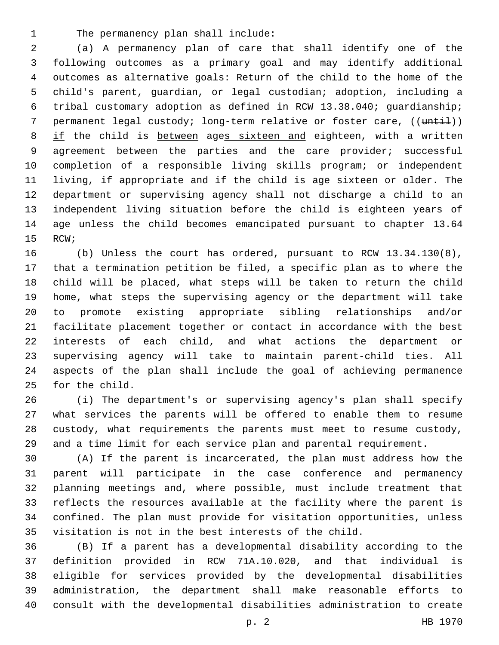1 The permanency plan shall include:

 (a) A permanency plan of care that shall identify one of the following outcomes as a primary goal and may identify additional outcomes as alternative goals: Return of the child to the home of the child's parent, guardian, or legal custodian; adoption, including a tribal customary adoption as defined in RCW 13.38.040; guardianship; 7 permanent legal custody; long-term relative or foster care, ((until)) 8 if the child is between ages sixteen and eighteen, with a written 9 agreement between the parties and the care provider; successful completion of a responsible living skills program; or independent living, if appropriate and if the child is age sixteen or older. The department or supervising agency shall not discharge a child to an independent living situation before the child is eighteen years of age unless the child becomes emancipated pursuant to chapter 13.64 15 RCW;

 (b) Unless the court has ordered, pursuant to RCW 13.34.130(8), that a termination petition be filed, a specific plan as to where the child will be placed, what steps will be taken to return the child home, what steps the supervising agency or the department will take to promote existing appropriate sibling relationships and/or facilitate placement together or contact in accordance with the best interests of each child, and what actions the department or supervising agency will take to maintain parent-child ties. All aspects of the plan shall include the goal of achieving permanence 25 for the child.

 (i) The department's or supervising agency's plan shall specify what services the parents will be offered to enable them to resume custody, what requirements the parents must meet to resume custody, and a time limit for each service plan and parental requirement.

 (A) If the parent is incarcerated, the plan must address how the parent will participate in the case conference and permanency planning meetings and, where possible, must include treatment that reflects the resources available at the facility where the parent is confined. The plan must provide for visitation opportunities, unless visitation is not in the best interests of the child.

 (B) If a parent has a developmental disability according to the definition provided in RCW 71A.10.020, and that individual is eligible for services provided by the developmental disabilities administration, the department shall make reasonable efforts to consult with the developmental disabilities administration to create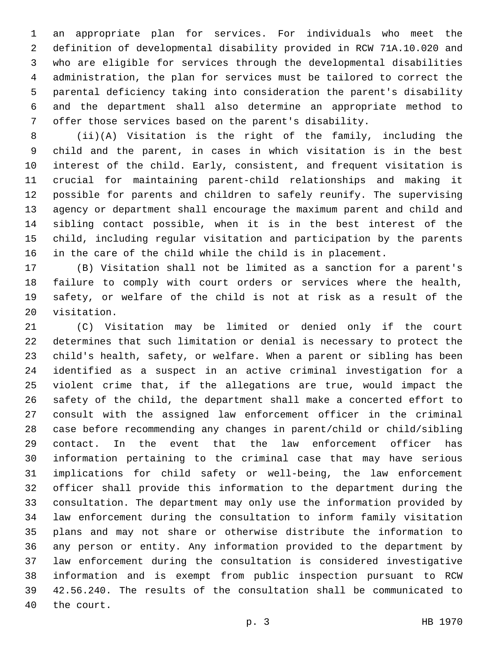an appropriate plan for services. For individuals who meet the definition of developmental disability provided in RCW 71A.10.020 and who are eligible for services through the developmental disabilities administration, the plan for services must be tailored to correct the parental deficiency taking into consideration the parent's disability and the department shall also determine an appropriate method to offer those services based on the parent's disability.

 (ii)(A) Visitation is the right of the family, including the child and the parent, in cases in which visitation is in the best interest of the child. Early, consistent, and frequent visitation is crucial for maintaining parent-child relationships and making it possible for parents and children to safely reunify. The supervising agency or department shall encourage the maximum parent and child and sibling contact possible, when it is in the best interest of the child, including regular visitation and participation by the parents in the care of the child while the child is in placement.

 (B) Visitation shall not be limited as a sanction for a parent's failure to comply with court orders or services where the health, safety, or welfare of the child is not at risk as a result of the 20 visitation.

 (C) Visitation may be limited or denied only if the court determines that such limitation or denial is necessary to protect the child's health, safety, or welfare. When a parent or sibling has been identified as a suspect in an active criminal investigation for a violent crime that, if the allegations are true, would impact the safety of the child, the department shall make a concerted effort to consult with the assigned law enforcement officer in the criminal case before recommending any changes in parent/child or child/sibling contact. In the event that the law enforcement officer has information pertaining to the criminal case that may have serious implications for child safety or well-being, the law enforcement officer shall provide this information to the department during the consultation. The department may only use the information provided by law enforcement during the consultation to inform family visitation plans and may not share or otherwise distribute the information to any person or entity. Any information provided to the department by law enforcement during the consultation is considered investigative information and is exempt from public inspection pursuant to RCW 42.56.240. The results of the consultation shall be communicated to 40 the court.

p. 3 HB 1970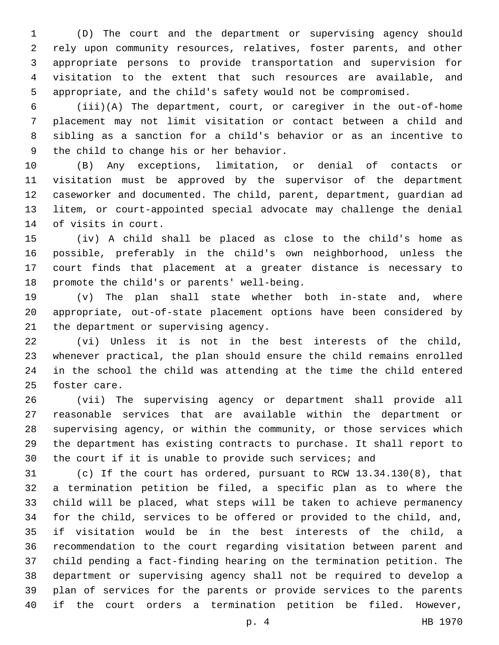(D) The court and the department or supervising agency should rely upon community resources, relatives, foster parents, and other appropriate persons to provide transportation and supervision for visitation to the extent that such resources are available, and appropriate, and the child's safety would not be compromised.

 (iii)(A) The department, court, or caregiver in the out-of-home placement may not limit visitation or contact between a child and sibling as a sanction for a child's behavior or as an incentive to 9 the child to change his or her behavior.

 (B) Any exceptions, limitation, or denial of contacts or visitation must be approved by the supervisor of the department caseworker and documented. The child, parent, department, guardian ad litem, or court-appointed special advocate may challenge the denial 14 of visits in court.

 (iv) A child shall be placed as close to the child's home as possible, preferably in the child's own neighborhood, unless the court finds that placement at a greater distance is necessary to 18 promote the child's or parents' well-being.

 (v) The plan shall state whether both in-state and, where appropriate, out-of-state placement options have been considered by 21 the department or supervising agency.

 (vi) Unless it is not in the best interests of the child, whenever practical, the plan should ensure the child remains enrolled in the school the child was attending at the time the child entered 25 foster care.

 (vii) The supervising agency or department shall provide all reasonable services that are available within the department or supervising agency, or within the community, or those services which the department has existing contracts to purchase. It shall report to the court if it is unable to provide such services; and

 (c) If the court has ordered, pursuant to RCW 13.34.130(8), that a termination petition be filed, a specific plan as to where the child will be placed, what steps will be taken to achieve permanency for the child, services to be offered or provided to the child, and, if visitation would be in the best interests of the child, a recommendation to the court regarding visitation between parent and child pending a fact-finding hearing on the termination petition. The department or supervising agency shall not be required to develop a plan of services for the parents or provide services to the parents if the court orders a termination petition be filed. However,

p. 4 HB 1970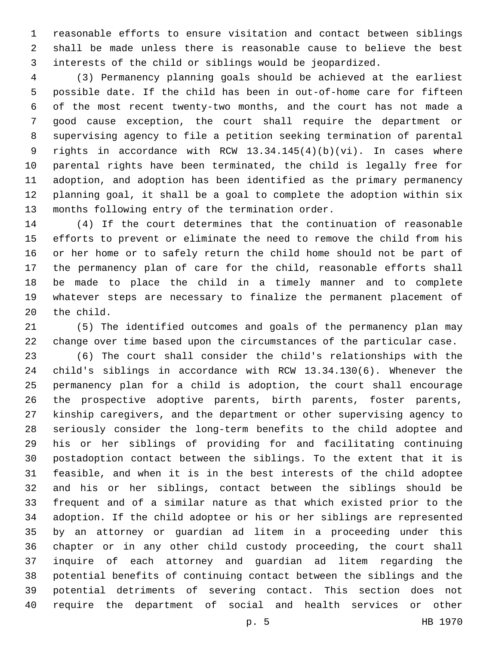reasonable efforts to ensure visitation and contact between siblings shall be made unless there is reasonable cause to believe the best interests of the child or siblings would be jeopardized.

 (3) Permanency planning goals should be achieved at the earliest possible date. If the child has been in out-of-home care for fifteen of the most recent twenty-two months, and the court has not made a good cause exception, the court shall require the department or supervising agency to file a petition seeking termination of parental rights in accordance with RCW 13.34.145(4)(b)(vi). In cases where parental rights have been terminated, the child is legally free for adoption, and adoption has been identified as the primary permanency planning goal, it shall be a goal to complete the adoption within six 13 months following entry of the termination order.

 (4) If the court determines that the continuation of reasonable efforts to prevent or eliminate the need to remove the child from his or her home or to safely return the child home should not be part of the permanency plan of care for the child, reasonable efforts shall be made to place the child in a timely manner and to complete whatever steps are necessary to finalize the permanent placement of 20 the child.

 (5) The identified outcomes and goals of the permanency plan may change over time based upon the circumstances of the particular case.

 (6) The court shall consider the child's relationships with the child's siblings in accordance with RCW 13.34.130(6). Whenever the permanency plan for a child is adoption, the court shall encourage the prospective adoptive parents, birth parents, foster parents, kinship caregivers, and the department or other supervising agency to seriously consider the long-term benefits to the child adoptee and his or her siblings of providing for and facilitating continuing postadoption contact between the siblings. To the extent that it is feasible, and when it is in the best interests of the child adoptee and his or her siblings, contact between the siblings should be frequent and of a similar nature as that which existed prior to the adoption. If the child adoptee or his or her siblings are represented by an attorney or guardian ad litem in a proceeding under this chapter or in any other child custody proceeding, the court shall inquire of each attorney and guardian ad litem regarding the potential benefits of continuing contact between the siblings and the potential detriments of severing contact. This section does not require the department of social and health services or other

p. 5 HB 1970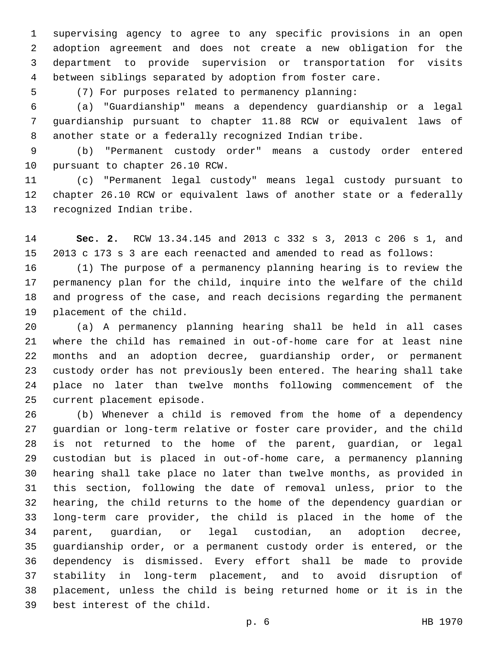supervising agency to agree to any specific provisions in an open adoption agreement and does not create a new obligation for the department to provide supervision or transportation for visits between siblings separated by adoption from foster care.

(7) For purposes related to permanency planning:

 (a) "Guardianship" means a dependency guardianship or a legal guardianship pursuant to chapter 11.88 RCW or equivalent laws of another state or a federally recognized Indian tribe.

 (b) "Permanent custody order" means a custody order entered 10 pursuant to chapter 26.10 RCW.

 (c) "Permanent legal custody" means legal custody pursuant to chapter 26.10 RCW or equivalent laws of another state or a federally 13 recognized Indian tribe.

 **Sec. 2.** RCW 13.34.145 and 2013 c 332 s 3, 2013 c 206 s 1, and 2013 c 173 s 3 are each reenacted and amended to read as follows:

 (1) The purpose of a permanency planning hearing is to review the permanency plan for the child, inquire into the welfare of the child and progress of the case, and reach decisions regarding the permanent 19 placement of the child.

 (a) A permanency planning hearing shall be held in all cases where the child has remained in out-of-home care for at least nine months and an adoption decree, guardianship order, or permanent custody order has not previously been entered. The hearing shall take place no later than twelve months following commencement of the 25 current placement episode.

 (b) Whenever a child is removed from the home of a dependency guardian or long-term relative or foster care provider, and the child is not returned to the home of the parent, guardian, or legal custodian but is placed in out-of-home care, a permanency planning hearing shall take place no later than twelve months, as provided in this section, following the date of removal unless, prior to the hearing, the child returns to the home of the dependency guardian or long-term care provider, the child is placed in the home of the parent, guardian, or legal custodian, an adoption decree, guardianship order, or a permanent custody order is entered, or the dependency is dismissed. Every effort shall be made to provide stability in long-term placement, and to avoid disruption of placement, unless the child is being returned home or it is in the 39 best interest of the child.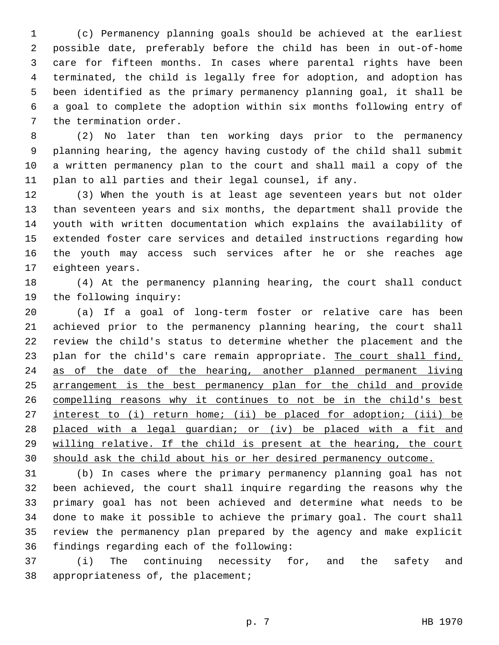(c) Permanency planning goals should be achieved at the earliest possible date, preferably before the child has been in out-of-home care for fifteen months. In cases where parental rights have been terminated, the child is legally free for adoption, and adoption has been identified as the primary permanency planning goal, it shall be a goal to complete the adoption within six months following entry of 7 the termination order.

 (2) No later than ten working days prior to the permanency planning hearing, the agency having custody of the child shall submit a written permanency plan to the court and shall mail a copy of the plan to all parties and their legal counsel, if any.

 (3) When the youth is at least age seventeen years but not older than seventeen years and six months, the department shall provide the youth with written documentation which explains the availability of extended foster care services and detailed instructions regarding how the youth may access such services after he or she reaches age 17 eighteen years.

 (4) At the permanency planning hearing, the court shall conduct 19 the following inquiry:

 (a) If a goal of long-term foster or relative care has been achieved prior to the permanency planning hearing, the court shall review the child's status to determine whether the placement and the 23 plan for the child's care remain appropriate. The court shall find, as of the date of the hearing, another planned permanent living arrangement is the best permanency plan for the child and provide compelling reasons why it continues to not be in the child's best interest to (i) return home; (ii) be placed for adoption; (iii) be 28 placed with a legal guardian; or (iv) be placed with a fit and willing relative. If the child is present at the hearing, the court should ask the child about his or her desired permanency outcome.

 (b) In cases where the primary permanency planning goal has not been achieved, the court shall inquire regarding the reasons why the primary goal has not been achieved and determine what needs to be done to make it possible to achieve the primary goal. The court shall review the permanency plan prepared by the agency and make explicit 36 findings regarding each of the following:

 (i) The continuing necessity for, and the safety and 38 appropriateness of, the placement;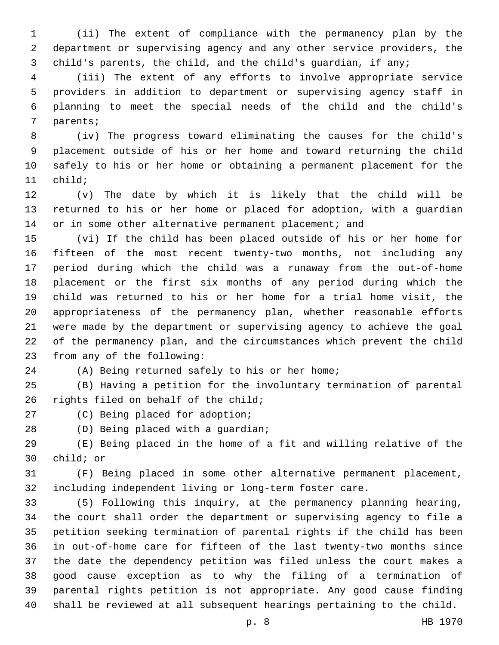(ii) The extent of compliance with the permanency plan by the department or supervising agency and any other service providers, the child's parents, the child, and the child's guardian, if any;

 (iii) The extent of any efforts to involve appropriate service providers in addition to department or supervising agency staff in planning to meet the special needs of the child and the child's 7 parents;

 (iv) The progress toward eliminating the causes for the child's placement outside of his or her home and toward returning the child safely to his or her home or obtaining a permanent placement for the 11 child;

 (v) The date by which it is likely that the child will be returned to his or her home or placed for adoption, with a guardian 14 or in some other alternative permanent placement; and

 (vi) If the child has been placed outside of his or her home for fifteen of the most recent twenty-two months, not including any period during which the child was a runaway from the out-of-home placement or the first six months of any period during which the child was returned to his or her home for a trial home visit, the appropriateness of the permanency plan, whether reasonable efforts were made by the department or supervising agency to achieve the goal of the permanency plan, and the circumstances which prevent the child 23 from any of the following:

(A) Being returned safely to his or her home;

 (B) Having a petition for the involuntary termination of parental 26 rights filed on behalf of the child;

27 (C) Being placed for adoption;

28 (D) Being placed with a guardian;

 (E) Being placed in the home of a fit and willing relative of the 30 child; or

 (F) Being placed in some other alternative permanent placement, including independent living or long-term foster care.

 (5) Following this inquiry, at the permanency planning hearing, the court shall order the department or supervising agency to file a petition seeking termination of parental rights if the child has been in out-of-home care for fifteen of the last twenty-two months since the date the dependency petition was filed unless the court makes a good cause exception as to why the filing of a termination of parental rights petition is not appropriate. Any good cause finding shall be reviewed at all subsequent hearings pertaining to the child.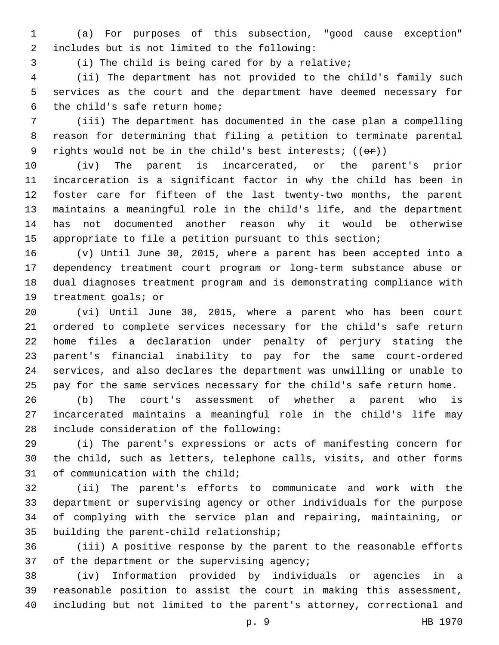(a) For purposes of this subsection, "good cause exception" includes but is not limited to the following:2

(i) The child is being cared for by a relative;

 (ii) The department has not provided to the child's family such services as the court and the department have deemed necessary for 6 the child's safe return home;

 (iii) The department has documented in the case plan a compelling reason for determining that filing a petition to terminate parental 9 rights would not be in the child's best interests;  $((\theta \hat{r}))$ 

 (iv) The parent is incarcerated, or the parent's prior incarceration is a significant factor in why the child has been in foster care for fifteen of the last twenty-two months, the parent maintains a meaningful role in the child's life, and the department has not documented another reason why it would be otherwise appropriate to file a petition pursuant to this section;

 (v) Until June 30, 2015, where a parent has been accepted into a dependency treatment court program or long-term substance abuse or dual diagnoses treatment program and is demonstrating compliance with 19 treatment goals; or

 (vi) Until June 30, 2015, where a parent who has been court ordered to complete services necessary for the child's safe return home files a declaration under penalty of perjury stating the parent's financial inability to pay for the same court-ordered services, and also declares the department was unwilling or unable to pay for the same services necessary for the child's safe return home.

 (b) The court's assessment of whether a parent who is incarcerated maintains a meaningful role in the child's life may 28 include consideration of the following:

 (i) The parent's expressions or acts of manifesting concern for the child, such as letters, telephone calls, visits, and other forms 31 of communication with the child;

 (ii) The parent's efforts to communicate and work with the department or supervising agency or other individuals for the purpose of complying with the service plan and repairing, maintaining, or 35 building the parent-child relationship;

 (iii) A positive response by the parent to the reasonable efforts 37 of the department or the supervising agency;

 (iv) Information provided by individuals or agencies in a reasonable position to assist the court in making this assessment, including but not limited to the parent's attorney, correctional and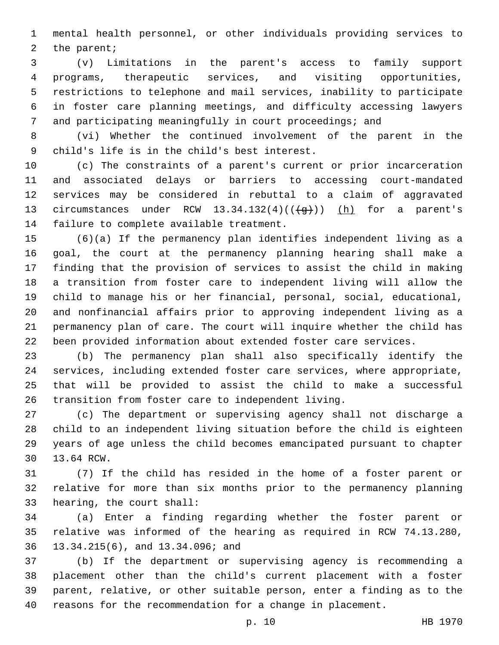mental health personnel, or other individuals providing services to 2 the parent;

 (v) Limitations in the parent's access to family support programs, therapeutic services, and visiting opportunities, restrictions to telephone and mail services, inability to participate in foster care planning meetings, and difficulty accessing lawyers and participating meaningfully in court proceedings; and

 (vi) Whether the continued involvement of the parent in the child's life is in the child's best interest.9

 (c) The constraints of a parent's current or prior incarceration and associated delays or barriers to accessing court-mandated services may be considered in rebuttal to a claim of aggravated 13 circumstances under RCW  $13.34.132(4)((\frac{1}{9}))$  (h) for a parent's 14 failure to complete available treatment.

 (6)(a) If the permanency plan identifies independent living as a goal, the court at the permanency planning hearing shall make a finding that the provision of services to assist the child in making a transition from foster care to independent living will allow the child to manage his or her financial, personal, social, educational, and nonfinancial affairs prior to approving independent living as a permanency plan of care. The court will inquire whether the child has been provided information about extended foster care services.

 (b) The permanency plan shall also specifically identify the services, including extended foster care services, where appropriate, that will be provided to assist the child to make a successful transition from foster care to independent living.

 (c) The department or supervising agency shall not discharge a child to an independent living situation before the child is eighteen years of age unless the child becomes emancipated pursuant to chapter 30 13.64 RCW.

 (7) If the child has resided in the home of a foster parent or relative for more than six months prior to the permanency planning 33 hearing, the court shall:

 (a) Enter a finding regarding whether the foster parent or relative was informed of the hearing as required in RCW 74.13.280, 13.34.215(6), and 13.34.096; and36

 (b) If the department or supervising agency is recommending a placement other than the child's current placement with a foster parent, relative, or other suitable person, enter a finding as to the reasons for the recommendation for a change in placement.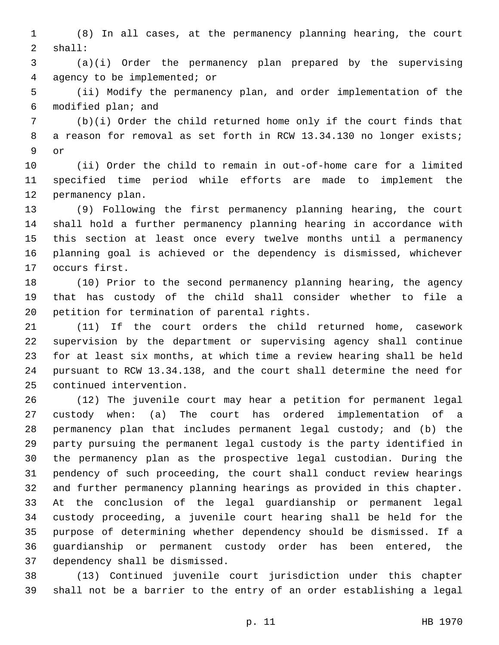(8) In all cases, at the permanency planning hearing, the court shall:2

 (a)(i) Order the permanency plan prepared by the supervising agency to be implemented; or4

 (ii) Modify the permanency plan, and order implementation of the 6 modified plan; and

 (b)(i) Order the child returned home only if the court finds that 8 a reason for removal as set forth in RCW 13.34.130 no longer exists; 9 or

 (ii) Order the child to remain in out-of-home care for a limited specified time period while efforts are made to implement the 12 permanency plan.

 (9) Following the first permanency planning hearing, the court shall hold a further permanency planning hearing in accordance with this section at least once every twelve months until a permanency planning goal is achieved or the dependency is dismissed, whichever 17 occurs first.

 (10) Prior to the second permanency planning hearing, the agency that has custody of the child shall consider whether to file a 20 petition for termination of parental rights.

 (11) If the court orders the child returned home, casework supervision by the department or supervising agency shall continue for at least six months, at which time a review hearing shall be held pursuant to RCW 13.34.138, and the court shall determine the need for 25 continued intervention.

 (12) The juvenile court may hear a petition for permanent legal custody when: (a) The court has ordered implementation of a permanency plan that includes permanent legal custody; and (b) the party pursuing the permanent legal custody is the party identified in the permanency plan as the prospective legal custodian. During the pendency of such proceeding, the court shall conduct review hearings and further permanency planning hearings as provided in this chapter. At the conclusion of the legal guardianship or permanent legal custody proceeding, a juvenile court hearing shall be held for the purpose of determining whether dependency should be dismissed. If a guardianship or permanent custody order has been entered, the 37 dependency shall be dismissed.

 (13) Continued juvenile court jurisdiction under this chapter shall not be a barrier to the entry of an order establishing a legal